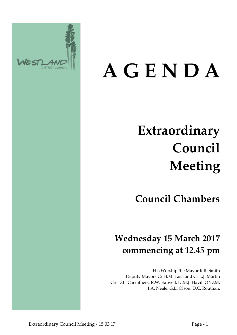

# **A G E N D A**

## **Extraordinary Council Meeting**

## **Council Chambers**

## **Wednesday 15 March 2017 commencing at 12.45 pm**

His Worship the Mayor R.B. Smith Deputy Mayors Cr H.M. Lash and Cr L.J. Martin Crs D.L. Carruthers, R.W. Eatwell, D.M.J. Havill ONZM, J.A. Neale, G.L. Olson, D.C. Routhan.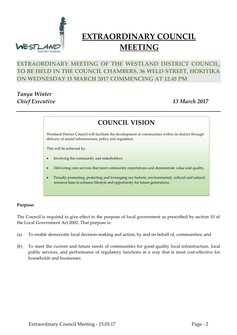

### **EXTRAORDINARY COUNCIL MEETING**

#### **EXTRAORDINARY MEETING OF THE WESTLAND DISTRICT COUNCIL, TO BE HELD IN THE COUNCIL CHAMBERS, 36 WELD STREET, HOKITIKA ON WEDNESDAY 15 MARCH 2017 COMMENCING AT 12.45 PM**

#### *Tanya Winter Chief Executive 13 March 2017*

**COUNCIL VISION**

Westland District Council will facilitate the development of communities within its district through delivery of sound infrastructure, policy and regulation.

This will be achieved by:

- Involving the community and stakeholders.
- Delivering core services that meet community expectations and demonstrate value and quality.
- Proudly promoting, protecting and leveraging our historic, environmental, cultural and natural resource base to enhance lifestyle and opportunity for future generations.

#### **Purpose:**

The Council is required to give effect to the purpose of local government as prescribed by section 10 of the Local Government Act 2002. That purpose is:

- (a) To enable democratic local decision-making and action, by and on behalf of, communities; and
- (b) To meet the current and future needs of communities for good-quality local infrastructure, local public services, and performance of regulatory functions in a way that is most cost-effective for households and businesses.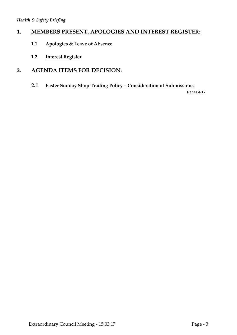#### **1. MEMBERS PRESENT, APOLOGIES AND INTEREST REGISTER:**

- **1.1 Apologies & Leave of Absence**
- **1.2 Interest Register**

#### **2. AGENDA ITEMS FOR DECISION:**

**2.1 Easter Sunday Shop Trading Policy – Consideration of Submissions**

Pages 4-17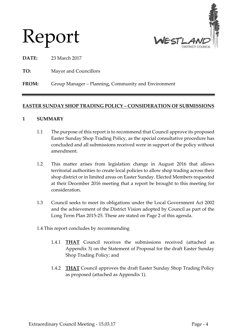

## Report

**DATE:** 23 March 2017

**TO:** Mayor and Councillors

#### **FROM:** Group Manager – Planning, Community and Environment

#### **EASTER SUNDAY SHOP TRADING POLICY – CONSIDERATION OF SUBMISSIONS**

#### **1 SUMMARY**

- 1.1 The purpose of this report is to recommend that Council approve its proposed Easter Sunday Shop Trading Policy, as the special consultative procedure has concluded and all submissions received were in support of the policy without amendment.
- 1.2 This matter arises from legislation change in August 2016 that allows territorial authorities to create local policies to allow shop trading across their shop district or in limited areas on Easter Sunday. Elected Members requested at their December 2016 meeting that a report be brought to this meeting for consideration.
- 1.3 Council seeks to meet its obligations under the Local Government Act 2002 and the achievement of the District Vision adopted by Council as part of the Long Term Plan 2015-25. These are stated on Page 2 of this agenda.
- 1.4 This report concludes by recommending
	- 1.4.1 **THAT** Council receives the submissions received (attached as Appendix 3) on the Statement of Proposal for the draft Easter Sunday Shop Trading Policy; and
	- 1.4.2 **THAT** Council approves the draft Easter Sunday Shop Trading Policy as proposed (attached as Appendix 1).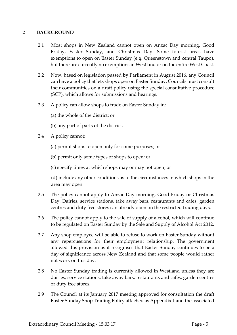#### **2 BACKGROUND**

- 2.1 Most shops in New Zealand cannot open on Anzac Day morning, Good Friday, Easter Sunday, and Christmas Day. Some tourist areas have exemptions to open on Easter Sunday (e.g. Queenstown and central Taupo), but there are currently no exemptions in Westland or on the entire West Coast.
- 2.2 Now, based on legislation passed by Parliament in August 2016, any Council can have a policy that lets shops open on Easter Sunday. Councils must consult their communities on a draft policy using the special consultative procedure (SCP), which allows for submissions and hearings.
- 2.3 A policy can allow shops to trade on Easter Sunday in:
	- (a) the whole of the district; or
	- (b) any part of parts of the district.
- 2.4 A policy cannot:
	- (a) permit shops to open only for some purposes; or

(b) permit only some types of shops to open; or

(c) specify times at which shops may or may not open; or

(d) include any other conditions as to the circumstances in which shops in the area may open.

- 2.5 The policy cannot apply to Anzac Day morning, Good Friday or Christmas Day. Dairies, service stations, take away bars, restaurants and cafes, garden centres and duty free stores can already open on the restricted trading days.
- 2.6 The policy cannot apply to the sale of supply of alcohol, which will continue to be regulated on Easter Sunday by the Sale and Supply of Alcohol Act 2012.
- 2.7 Any shop employee will be able to refuse to work on Easter Sunday without any repercussions for their employment relationship. The government allowed this provision as it recognises that Easter Sunday continues to be a day of significance across New Zealand and that some people would rather not work on this day.
- 2.8 No Easter Sunday trading is currently allowed in Westland unless they are dairies, service stations, take away bars, restaurants and cafes, garden centres or duty free stores.
- 2.9 The Council at its January 2017 meeting approved for consultation the draft Easter Sunday Shop Trading Policy attached as Appendix 1 and the associated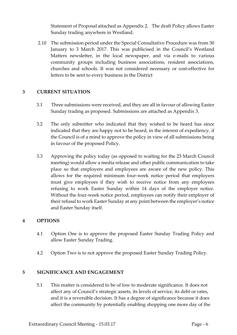Statement of Proposal attached as Appendix 2. The draft Policy allows Easter Sunday trading anywhere in Westland.

2.10 The submission period under the Special Consultative Procedure was from 30 January to 3 March 2017. This was publicised in the Council's Westland Matters newsletter, in the local newspaper, and via e-mails to various community groups including business associations, resident associations, churches and schools. It was not considered necessary or cost-effective for letters to be sent to every business in the District

#### **3 CURRENT SITUATION**

- 3.1 Three submissions were received, and they are all in favour of allowing Easter Sunday trading as proposed. Submissions are attached as Appendix 3.
- 3.2 The only submitter who indicated that they wished to be heard has since indicated that they are happy not to be heard, in the interest of expediency, if the Council is of a mind to approve the policy in view of all submissions being in favour of the proposed Policy.
- 3.3 Approving the policy today (as opposed to waiting for the 23 March Council meeting) would allow a media release and other public communication to take place so that employers and employees are aware of the new policy. This allows for the required minimum four-week notice period that employers must give employees if they wish to receive notice from any employees refusing to work Easter Sunday within 14 days of the employer notice. Without the four-week notice period, employees can notify their employer of their refusal to work Easter Sunday at any point between the employer's notice and Easter Sunday itself.

#### **4 OPTIONS**

- 4.1 Option One is to approve the proposed Easter Sunday Trading Policy and allow Easter Sunday Trading.
- 4.2 Option Two is to not approve the proposed Easter Sunday Trading Policy.

#### **5 SIGNIFICANCE AND ENGAGEMENT**

5.1 This matter is considered to be of low to moderate significance. It does not affect any of Council's strategic assets, its levels of service, its debt or rates, and it is a reversible decision. It has a degree of significance because it does affect the community by potentially enabling shopping one more day of the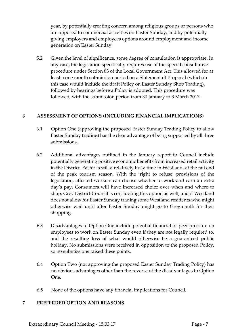year, by potentially creating concern among religious groups or persons who are opposed to commercial activities on Easter Sunday, and by potentially giving employers and employees options around employment and income generation on Easter Sunday.

5.2 Given the level of significance, some degree of consultation is appropriate. In any case, the legislation specifically requires use of the special consultative procedure under Section 83 of the Local Government Act. This allowed for at least a one month submission period on a Statement of Proposal (which in this case would include the draft Policy on Easter Sunday Shop Trading), followed by hearings before a Policy is adopted. This procedure was followed, with the submission period from 30 January to 3 March 2017.

#### **6 ASSESSMENT OF OPTIONS (INCLUDING FINANCIAL IMPLICATIONS)**

- 6.1 Option One (approving the proposed Easter Sunday Trading Policy to allow Easter Sunday trading) has the clear advantage of being supported by all three submissions.
- 6.2 Additional advantages outlined in the January report to Council include potentially generating positive economic benefits from increased retail activity in the District. Easter is still a relatively busy time in Westland, at the tail end of the peak tourism season. With the 'right to refuse' provisions of the legislation, affected workers can choose whether to work and earn an extra day's pay. Consumers will have increased choice over when and where to shop. Grey District Council is considering this option as well, and if Westland does not allow for Easter Sunday trading some Westland residents who might otherwise wait until after Easter Sunday might go to Greymouth for their shopping.
- 6.3 Disadvantages to Option One include potential financial or peer pressure on employees to work on Easter Sunday even if they are not legally required to, and the resulting loss of what would otherwise be a guaranteed public holiday. No submissions were received in opposition to the proposed Policy, so no submissions raised these points.
- 6.4 Option Two (not approving the proposed Easter Sunday Trading Policy) has no obvious advantages other than the reverse of the disadvantages to Option One.
- 6.5 None of the options have any financial implications for Council.

#### **7 PREFERRED OPTION AND REASONS**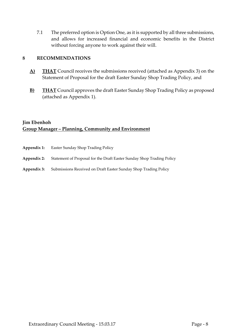7.1 The preferred option is Option One, as it is supported by all three submissions, and allows for increased financial and economic benefits in the District without forcing anyone to work against their will.

#### **8 RECOMMENDATIONS**

- **A) THAT** Council receives the submissions received (attached as Appendix 3) on the Statement of Proposal for the draft Easter Sunday Shop Trading Policy, and
- **B) THAT** Council approves the draft Easter Sunday Shop Trading Policy as proposed (attached as Appendix 1).

#### **Jim Ebenhoh Group Manager – Planning, Community and Environment**

| Appendix 1: | Easter Sunday Shop Trading Policy                                     |
|-------------|-----------------------------------------------------------------------|
| Appendix 2: | Statement of Proposal for the Draft Easter Sunday Shop Trading Policy |
| Appendix 3: | Submissions Received on Draft Easter Sunday Shop Trading Policy       |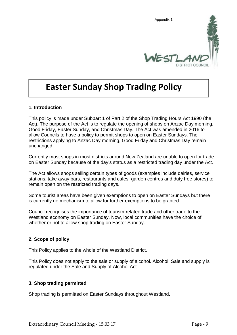

## **Easter Sunday Shop Trading Policy**

#### **1. Introduction**

This policy is made under Subpart 1 of Part 2 of the Shop Trading Hours Act 1990 (the Act). The purpose of the Act is to regulate the opening of shops on Anzac Day morning, Good Friday, Easter Sunday, and Christmas Day. The Act was amended in 2016 to allow Councils to have a policy to permit shops to open on Easter Sundays. The restrictions applying to Anzac Day morning, Good Friday and Christmas Day remain unchanged.

Currently most shops in most districts around New Zealand are unable to open for trade on Easter Sunday because of the day's status as a restricted trading day under the Act.

The Act allows shops selling certain types of goods (examples include dairies, service stations, take away bars, restaurants and cafes, garden centres and duty free stores) to remain open on the restricted trading days.

Some tourist areas have been given exemptions to open on Easter Sundays but there is currently no mechanism to allow for further exemptions to be granted.

Council recognises the importance of tourism-related trade and other trade to the Westland economy on Easter Sunday. Now, local communities have the choice of whether or not to allow shop trading on Easter Sunday.

#### **2. Scope of policy**

This Policy applies to the whole of the Westland District.

This Policy does not apply to the sale or supply of alcohol. Alcohol. Sale and supply is regulated under the Sale and Supply of Alcohol Act

#### **3. Shop trading permitted**

Shop trading is permitted on Easter Sundays throughout Westland.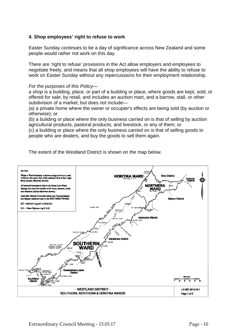#### **4. Shop employees' right to refuse to work**

Easter Sunday continues to be a day of significance across New Zealand and some people would rather not work on this day.

There are 'right to refuse' provisions in the Act allow employers and employees to negotiate freely, and means that all shop employees will have the ability to refuse to work on Easter Sunday without any repercussions for their employment relationship.

#### *For the purposes of this Policy—*

*a shop* is a building, place, or part of a building or place, where goods are kept, sold, or offered for sale, by retail; and includes an auction mart, and a barrow, stall, or other subdivision of a market; but does not include—

(a) a private home where the owner or occupier's effects are being sold (by auction or otherwise); or

(b) a building or place where the only business carried on is that of selling by auction agricultural products, pastoral products, and livestock, or any of them; or

(c) a building or place where the only business carried on is that of selling goods to people who are dealers, and buy the goods to sell them again.



The extent of the Westland District is shown on the map below.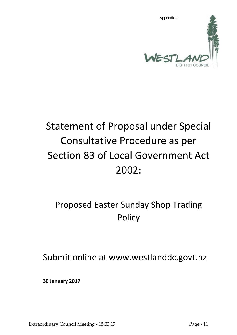

## Statement of Proposal under Special Consultative Procedure as per Section 83 of Local Government Act 2002:

## Proposed Easter Sunday Shop Trading Policy

Submit online at www.westlanddc.govt.nz

**30 January 2017**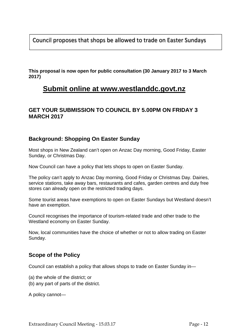Council proposes that shops be allowed to trade on Easter Sundays

**This proposal is now open for public consultation (30 January 2017 to 3 March 2017)**

#### **Submit online at www.westlanddc.govt.nz**

#### **GET YOUR SUBMISSION TO COUNCIL BY 5.00PM ON FRIDAY 3 MARCH 2017**

#### **Background: Shopping On Easter Sunday**

Most shops in New Zealand can't open on Anzac Day morning, Good Friday, Easter Sunday, or Christmas Day.

Now Council can have a policy that lets shops to open on Easter Sunday.

The policy can't apply to Anzac Day morning, Good Friday or Christmas Day. Dairies, service stations, take away bars, restaurants and cafes, garden centres and duty free stores can already open on the restricted trading days.

Some tourist areas have exemptions to open on Easter Sundays but Westland doesn't have an exemption.

Council recognises the importance of tourism-related trade and other trade to the Westland economy on Easter Sunday.

Now, local communities have the choice of whether or not to allow trading on Easter Sunday.

#### **Scope of the Policy**

Council can establish a policy that allows shops to trade on Easter Sunday in—

(a) the whole of the district; or

(b) any part of parts of the district.

A policy cannot—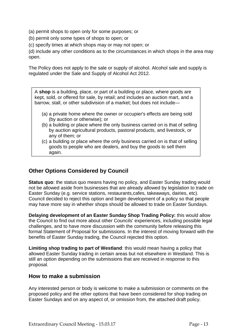- (a) permit shops to open only for some purposes; or
- (b) permit only some types of shops to open; or
- (c) specify times at which shops may or may not open; or

(d) include any other conditions as to the circumstances in which shops in the area may open.

The Policy does not apply to the sale or supply of alcohol. Alcohol sale and supply is regulated under the Sale and Supply of Alcohol Act 2012.

A **shop** is a building, place, or part of a building or place, where goods are kept, sold, or offered for sale, by retail; and includes an auction mart, and a barrow, stall, or other subdivision of a market; but does not include—

- (a) a private home where the owner or occupier's effects are being sold (by auction or otherwise); or
- (b) a building or place where the only business carried on is that of selling by auction agricultural products, pastoral products, and livestock, or any of them; or
- (c) a building or place where the only business carried on is that of selling goods to people who are dealers, and buy the goods to sell them again.

#### **Other Options Considered by Council**

**Status quo**: the status quo means having no policy, and Easter Sunday trading would not be allowed aside from businesses that are already allowed by legislation to trade on Easter Sunday (e.g. service stations, restaurants,cafes, takeaways, dairies, etc). Council decided to reject this option and begin development of a policy so that people may have more say in whether shops should be allowed to trade on Easter Sundays.

**Delaying development of an Easter Sunday Shop Trading Policy:** this would allow the Council to find out more about other Councils' experiences, including possible legal challenges, and to have more discussion with the community before releasing this formal Statement of Proposal for submissions. In the interest of moving forward with the benefits of Easter Sunday trading, the Council rejected this option.

**Limiting shop trading to part of Westland**: this would mean having a policy that allowed Easter Sunday trading in certain areas but not elsewhere in Westland. This is still an option depending on the submissions that are received in response to this proposal.

#### **How to make a submission**

Any interested person or body is welcome to make a submission or comments on the proposed policy and the other options that have been considered for shop trading on Easter Sundays and on any aspect of, or omission from, the attached draft policy.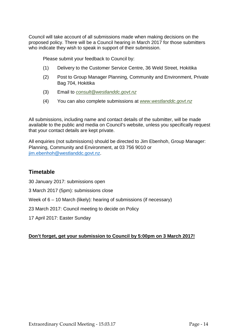Council will take account of all submissions made when making decisions on the proposed policy. There will be a Council hearing in March 2017 for those submitters who indicate they wish to speak in support of their submission.

Please submit your feedback to Council by:

- (1) Delivery to the Customer Service Centre, 36 Weld Street, Hokitika
- (2) Post to Group Manager Planning, Community and Environment, Private Bag 704, Hokitika
- (3) Email to *consult@westlanddc.govt.nz*
- (4) You can also complete submissions at *www.westlanddc.govt.nz*

All submissions, including name and contact details of the submitter, will be made available to the public and media on Council's website, unless you specifically request that your contact details are kept private.

All enquiries (not submissions) should be directed to Jim Ebenhoh, Group Manager: Planning, Community and Environment, at 03 756 9010 or jim.ebenhoh@westlanddc.govt.nz.

#### **Timetable**

30 January 2017: submissions open

3 March 2017 (5pm): submissions close

Week of  $6 - 10$  March (likely): hearing of submissions (if necessary)

23 March 2017: Council meeting to decide on Policy

17 April 2017: Easter Sunday

#### **Don't forget, get your submission to Council by 5:00pm on 3 March 2017!**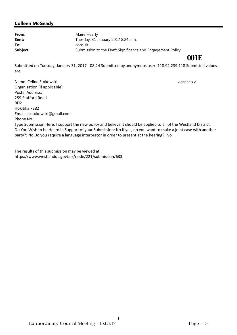### **001E**

Submitted on Tuesday, January 31, 2017 - 08:24 Submitted by anonymous user: 118.92.239.118 Submitted values are:

Name: Celine Stokowski Organisation (if applicable): Postal Address: 259 Stafford Road RD2 Hokitika 7882 Email: cbstokowski@gmail.com Phone No.: Type Submission Here: I support the new policy and believe it should be applied to all of the Westland District. Do You Wish to be Heard in Support of your Submission: No If yes, do you want to make a joint case with another party?: No Do you require a language interpretor in order to present at the hearing?: No Appendix 3

The results of this submission may be viewed at: https://www.westlanddc.govt.nz/node/221/submission/633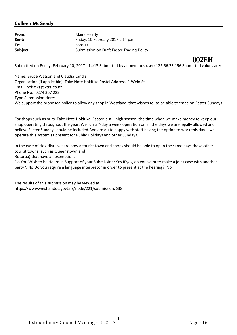Submitted on Friday, February 10, 2017 - 14:13 Submitted by anonymous user: 122.56.73.156 Submitted values are: **002EH**

Name: Bruce Watson and Claudia Landis Organisation (if applicable): Take Note Hokitika Postal Address: 1 Weld St Email: hokitika@xtra.co.nz Phone No.: 0274 367 222 Type Submission Here: We support the proposed policy to allow any shop in Westland that wishes to, to be able to trade on Easter Sundays

For shops such as ours, Take Note Hokitika, Easter is still high season, the time when we make money to keep our shop operating throughout the year. We run a 7-day a week operation on all the days we are legally allowed and believe Easter Sunday should be included. We are quite happy with staff having the option to work this day - we operate this system at present for Public Holidays and other Sundays.

In the case of Hokitika - we are now a tourist town and shops should be able to open the same days those other tourist towns (such as Queenstown and

Rotorua) that have an exemption.

.

Do You Wish to be Heard in Support of your Submission: Yes If yes, do you want to make a joint case with another party?: No Do you require a language interpretor in order to present at the hearing?: No

1

The results of this submission may be viewed at: https://www.westlanddc.govt.nz/node/221/submission/638